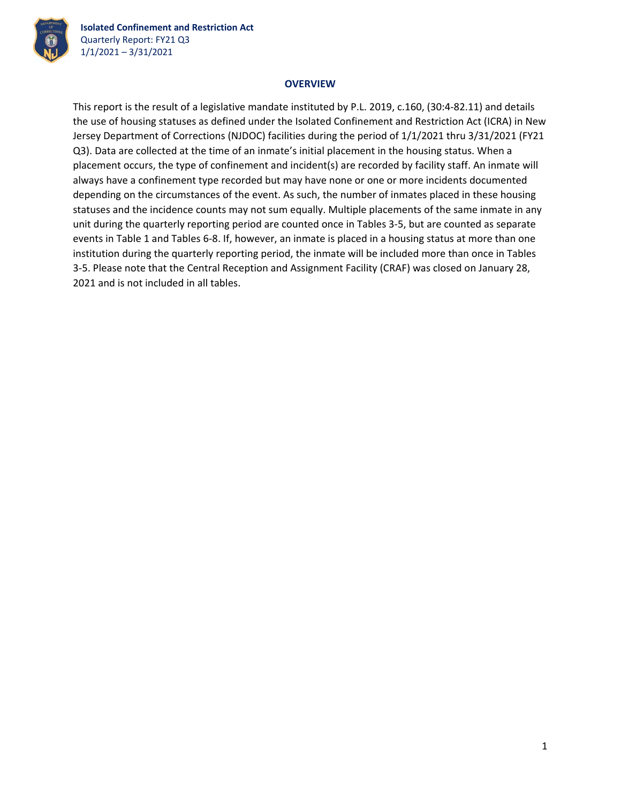

**Isolated Confinement and Restriction Act** Quarterly Report: FY21 Q3 1/1/2021 – 3/31/2021

## **OVERVIEW**

This report is the result of a legislative mandate instituted by P.L. 2019, c.160, (30:4‐82.11) and details the use of housing statuses as defined under the Isolated Confinement and Restriction Act (ICRA) in New Jersey Department of Corrections (NJDOC) facilities during the period of 1/1/2021 thru 3/31/2021 (FY21 Q3). Data are collected at the time of an inmate's initial placement in the housing status. When a placement occurs, the type of confinement and incident(s) are recorded by facility staff. An inmate will always have a confinement type recorded but may have none or one or more incidents documented depending on the circumstances of the event. As such, the number of inmates placed in these housing statuses and the incidence counts may not sum equally. Multiple placements of the same inmate in any unit during the quarterly reporting period are counted once in Tables 3‐5, but are counted as separate events in Table 1 and Tables 6‐8. If, however, an inmate is placed in a housing status at more than one institution during the quarterly reporting period, the inmate will be included more than once in Tables 3‐5. Please note that the Central Reception and Assignment Facility (CRAF) was closed on January 28, 2021 and is not included in all tables.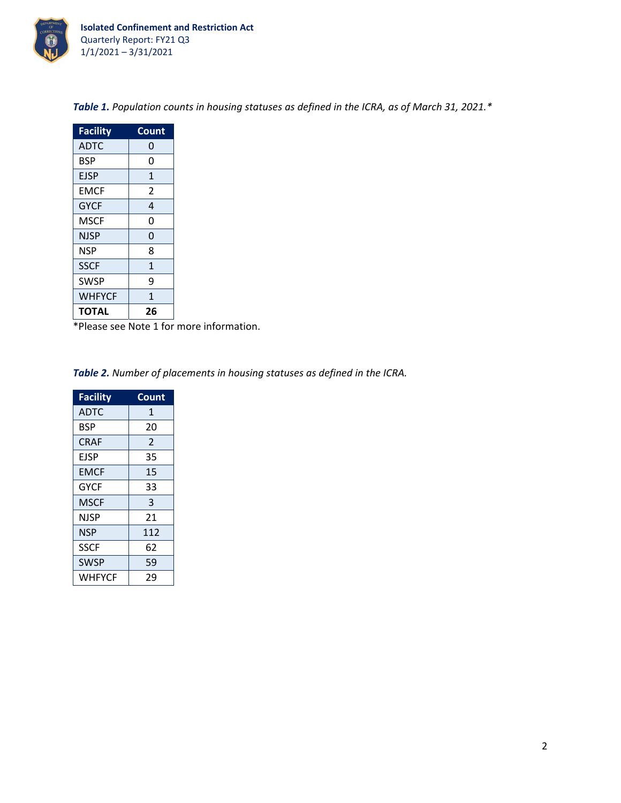

| <b>Facility</b> | Count        |
|-----------------|--------------|
| <b>ADTC</b>     | 0            |
| <b>BSP</b>      | 0            |
| <b>EJSP</b>     | $\mathbf{1}$ |
| <b>EMCF</b>     | 2            |
| <b>GYCF</b>     | 4            |
| MSCF            | 0            |
| NJSP            | 0            |
| <b>NSP</b>      | 8            |
| <b>SSCF</b>     | $\mathbf{1}$ |
| <b>SWSP</b>     | 9            |
| <b>WHFYCF</b>   | 1            |
| TOTAL           | 26           |

*Table 1. Population counts in housing statuses as defined in the ICRA, as of March 31, 2021.\**

\*Please see Note 1 for more information.

*Table 2. Number of placements in housing statuses as defined in the ICRA.*

| <b>Facility</b> | Count |
|-----------------|-------|
| <b>ADTC</b>     | 1     |
| <b>BSP</b>      | 20    |
| <b>CRAF</b>     | 2     |
| <b>EJSP</b>     | 35    |
| <b>EMCF</b>     | 15    |
| <b>GYCF</b>     | 33    |
| <b>MSCF</b>     | 3     |
| NJSP            | 21    |
| <b>NSP</b>      | 112   |
| <b>SSCF</b>     | 62    |
| <b>SWSP</b>     | 59    |
| WHFYCF          | 29    |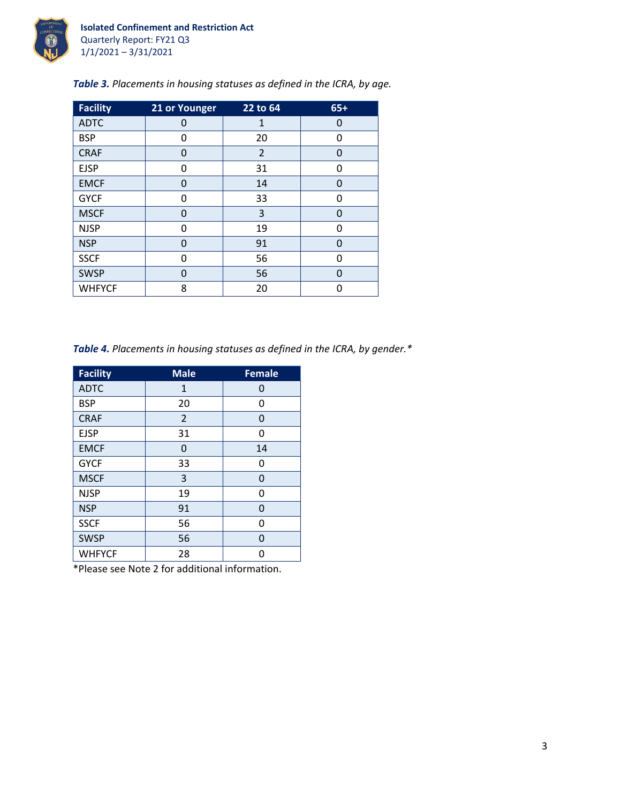

| <b>Facility</b> | 21 or Younger | 22 to 64       | $65+$ |
|-----------------|---------------|----------------|-------|
| <b>ADTC</b>     | 0             | 1              | 0     |
| <b>BSP</b>      | 0             | 20             | 0     |
| <b>CRAF</b>     | 0             | $\overline{2}$ | 0     |
| <b>EJSP</b>     | 0             | 31             | 0     |
| <b>EMCF</b>     | 0             | 14             | 0     |
| <b>GYCF</b>     | O             | 33             | ŋ     |
| <b>MSCF</b>     | $\Omega$      | 3              | 0     |
| <b>NJSP</b>     | O             | 19             | 0     |
| <b>NSP</b>      | 0             | 91             | 0     |
| <b>SSCF</b>     | O             | 56             | ŋ     |
| <b>SWSP</b>     | $\Omega$      | 56             | O     |
| <b>WHFYCF</b>   | 8             | 20             | n     |

*Table 3. Placements in housing statuses as defined in the ICRA, by age.*

*Table 4. Placements in housing statuses as defined in the ICRA, by gender.\**

| <b>Facility</b> | <b>Male</b>  | <b>Female</b> |
|-----------------|--------------|---------------|
| <b>ADTC</b>     | $\mathbf{1}$ | 0             |
| <b>BSP</b>      | 20           | 0             |
| <b>CRAF</b>     | 2            | 0             |
| <b>EJSP</b>     | 31           | 0             |
| <b>EMCF</b>     | 0            | 14            |
| <b>GYCF</b>     | 33           | O             |
| <b>MSCF</b>     | 3            | 0             |
| <b>NJSP</b>     | 19           | U             |
| <b>NSP</b>      | 91           | 0             |
| <b>SSCF</b>     | 56           | 0             |
| <b>SWSP</b>     | 56           | O             |
| <b>WHFYCF</b>   | 28           |               |

\*Please see Note 2 for additional information.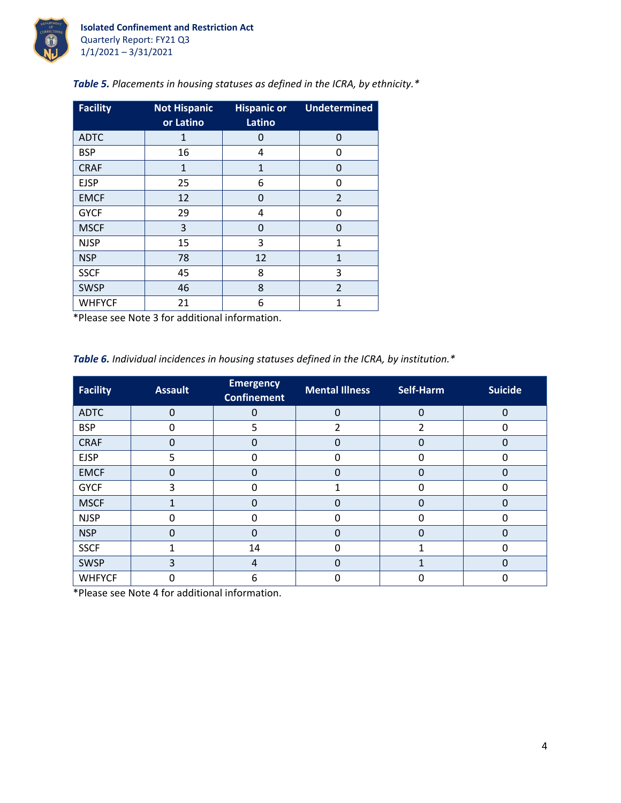

| <b>Facility</b> | <b>Not Hispanic</b><br>or Latino | <b>Hispanic or</b><br>Latino | <b>Undetermined</b> |
|-----------------|----------------------------------|------------------------------|---------------------|
| <b>ADTC</b>     | $\mathbf{1}$                     | 0                            | 0                   |
| <b>BSP</b>      | 16                               | 4                            | 0                   |
| <b>CRAF</b>     | $\mathbf{1}$                     | $\mathbf{1}$                 | O                   |
| <b>EJSP</b>     | 25                               | 6                            | O                   |
| <b>EMCF</b>     | 12                               | $\Omega$                     | $\overline{2}$      |
| <b>GYCF</b>     | 29                               | 4                            | O                   |
| <b>MSCF</b>     | 3                                | 0                            | O                   |
| <b>NJSP</b>     | 15                               | 3                            | 1                   |
| <b>NSP</b>      | 78                               | 12                           | 1                   |
| <b>SSCF</b>     | 45                               | 8                            | 3                   |
| <b>SWSP</b>     | 46                               | 8                            | $\overline{2}$      |
| <b>WHFYCF</b>   | 21                               | 6                            | 1                   |

*Table 5. Placements in housing statuses as defined in the ICRA, by ethnicity.\**

\*Please see Note 3 for additional information.

*Table 6. Individual incidences in housing statuses defined in the ICRA, by institution.\**

| <b>Facility</b> | <b>Assault</b> | <b>Emergency</b><br><b>Confinement</b> | <b>Mental Illness</b> | Self-Harm | <b>Suicide</b> |
|-----------------|----------------|----------------------------------------|-----------------------|-----------|----------------|
| <b>ADTC</b>     | $\Omega$       | 0                                      | $\Omega$              | $\Omega$  | 0              |
| <b>BSP</b>      | 0              | 5                                      | $\overline{2}$        | 2         | 0              |
| <b>CRAF</b>     | 0              | $\Omega$                               | $\Omega$              |           | 0              |
| <b>EJSP</b>     | 5              | 0                                      | O                     |           |                |
| <b>EMCF</b>     | 0              | $\Omega$                               | 0                     |           | 0              |
| <b>GYCF</b>     | 3              | 0                                      |                       |           | 0              |
| <b>MSCF</b>     |                | 0                                      | 0                     |           | 0              |
| <b>NJSP</b>     | U              | 0                                      | 0                     | O         | ი              |
| <b>NSP</b>      | O              | 0                                      | 0                     |           | 0              |
| <b>SSCF</b>     | 4              | 14                                     | O                     |           |                |
| <b>SWSP</b>     | 3              | $\overline{4}$                         | $\Omega$              |           | 0              |
| <b>WHFYCF</b>   | ი              | 6                                      | 0                     |           |                |

\*Please see Note 4 for additional information.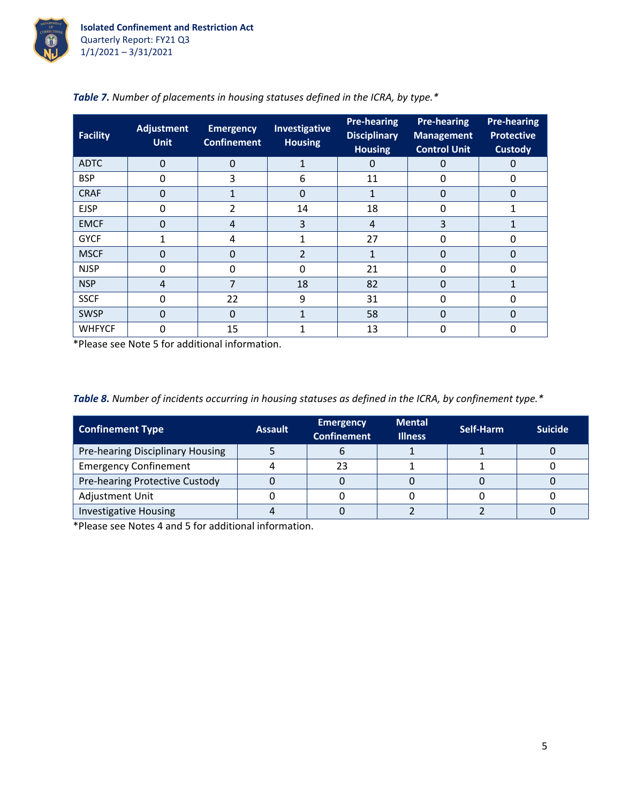

| Facility      | <b>Adjustment</b><br><b>Unit</b> | <b>Emergency</b><br><b>Confinement</b> | <b>Investigative</b><br><b>Housing</b> | <b>Pre-hearing</b><br><b>Disciplinary</b><br><b>Housing</b> | <b>Pre-hearing</b><br><b>Management</b><br><b>Control Unit</b> | <b>Pre-hearing</b><br><b>Protective</b><br><b>Custody</b> |
|---------------|----------------------------------|----------------------------------------|----------------------------------------|-------------------------------------------------------------|----------------------------------------------------------------|-----------------------------------------------------------|
| <b>ADTC</b>   | $\overline{0}$                   | $\Omega$                               | 1                                      | 0                                                           | 0                                                              | 0                                                         |
| <b>BSP</b>    | 0                                | 3                                      | 6                                      | 11                                                          | 0                                                              | 0                                                         |
| <b>CRAF</b>   | 0                                |                                        | 0                                      |                                                             | 0                                                              | 0                                                         |
| <b>EJSP</b>   | 0                                | 2                                      | 14                                     | 18                                                          | $\Omega$                                                       |                                                           |
| <b>EMCF</b>   | 0                                | 4                                      | 3                                      | 4                                                           | 3                                                              |                                                           |
| <b>GYCF</b>   |                                  | 4                                      |                                        | 27                                                          | 0                                                              | 0                                                         |
| <b>MSCF</b>   | 0                                | 0                                      | $\overline{2}$                         |                                                             | 0                                                              | 0                                                         |
| <b>NJSP</b>   | 0                                | 0                                      | 0                                      | 21                                                          | 0                                                              | O                                                         |
| <b>NSP</b>    | 4                                | 7                                      | 18                                     | 82                                                          | 0                                                              |                                                           |
| <b>SSCF</b>   | 0                                | 22                                     | 9                                      | 31                                                          | 0                                                              | 0                                                         |
| <b>SWSP</b>   | 0                                | $\Omega$                               |                                        | 58                                                          | $\Omega$                                                       | 0                                                         |
| <b>WHFYCF</b> | 0                                | 15                                     |                                        | 13                                                          | 0                                                              | 0                                                         |

|  |  | <b>Table 7.</b> Number of placements in housing statuses defined in the ICRA, by type.* |
|--|--|-----------------------------------------------------------------------------------------|
|  |  |                                                                                         |

\*Please see Note 5 for additional information.

|  |  |  | Table 8. Number of incidents occurring in housing statuses as defined in the ICRA, by confinement type.* |
|--|--|--|----------------------------------------------------------------------------------------------------------|
|  |  |  |                                                                                                          |

| <b>Confinement Type</b>          | <b>Assault</b> | <b>Emergency</b><br><b>Confinement</b> | <b>Mental</b><br><b>Illness</b> | Self-Harm | <b>Suicide</b> |
|----------------------------------|----------------|----------------------------------------|---------------------------------|-----------|----------------|
| Pre-hearing Disciplinary Housing |                |                                        |                                 |           |                |
| <b>Emergency Confinement</b>     |                |                                        |                                 |           |                |
| Pre-hearing Protective Custody   |                |                                        |                                 |           |                |
| Adjustment Unit                  |                |                                        |                                 |           |                |
| <b>Investigative Housing</b>     |                |                                        |                                 |           |                |

\*Please see Notes 4 and 5 for additional information.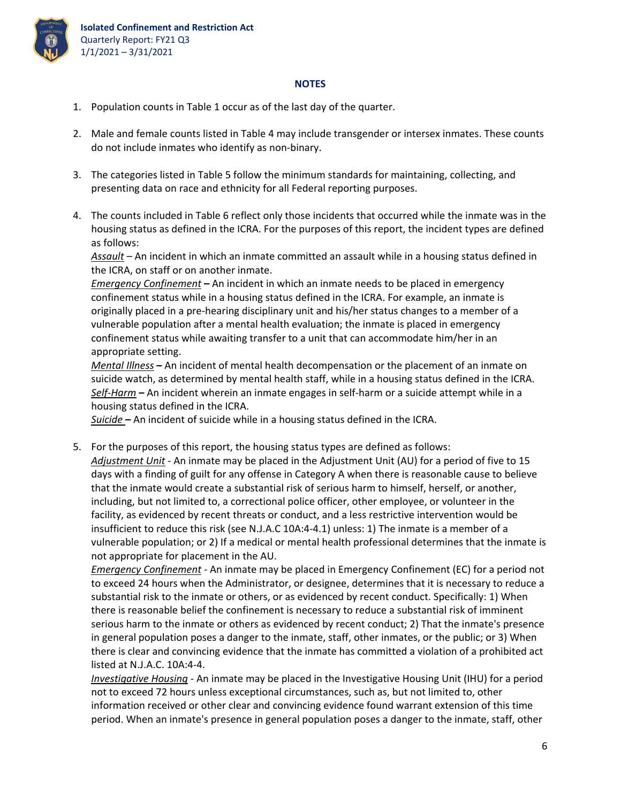

## **NOTES**

- 1. Population counts in Table 1 occur as of the last day of the quarter.
- 2. Male and female counts listed in Table 4 may include transgender or intersex inmates. These counts do not include inmates who identify as non‐binary.
- 3. The categories listed in Table 5 follow the minimum standards for maintaining, collecting, and presenting data on race and ethnicity for all Federal reporting purposes.
- 4. The counts included in Table 6 reflect only those incidents that occurred while the inmate was in the housing status as defined in the ICRA. For the purposes of this report, the incident types are defined as follows:

*Assault* – An incident in which an inmate committed an assault while in a housing status defined in the ICRA, on staff or on another inmate.

*Emergency Confinement* **–** An incident in which an inmate needs to be placed in emergency confinement status while in a housing status defined in the ICRA. For example, an inmate is originally placed in a pre‐hearing disciplinary unit and his/her status changes to a member of a vulnerable population after a mental health evaluation; the inmate is placed in emergency confinement status while awaiting transfer to a unit that can accommodate him/her in an appropriate setting.

*Mental Illness* **–** An incident of mental health decompensation or the placement of an inmate on suicide watch, as determined by mental health staff, while in a housing status defined in the ICRA. *Self‐Harm* **–** An incident wherein an inmate engages in self‐harm or a suicide attempt while in a housing status defined in the ICRA.

*Suicide* **–** An incident of suicide while in a housing status defined in the ICRA.

5. For the purposes of this report, the housing status types are defined as follows: *Adjustment Unit* ‐ An inmate may be placed in the Adjustment Unit (AU) for a period of five to 15 days with a finding of guilt for any offense in Category A when there is reasonable cause to believe that the inmate would create a substantial risk of serious harm to himself, herself, or another, including, but not limited to, a correctional police officer, other employee, or volunteer in the facility, as evidenced by recent threats or conduct, and a less restrictive intervention would be insufficient to reduce this risk (see N.J.A.C 10A:4‐4.1) unless: 1) The inmate is a member of a vulnerable population; or 2) If a medical or mental health professional determines that the inmate is not appropriate for placement in the AU.

*Emergency Confinement ‐* An inmate may be placed in Emergency Confinement (EC) for a period not to exceed 24 hours when the Administrator, or designee, determines that it is necessary to reduce a substantial risk to the inmate or others, or as evidenced by recent conduct. Specifically: 1) When there is reasonable belief the confinement is necessary to reduce a substantial risk of imminent serious harm to the inmate or others as evidenced by recent conduct; 2) That the inmate's presence in general population poses a danger to the inmate, staff, other inmates, or the public; or 3) When there is clear and convincing evidence that the inmate has committed a violation of a prohibited act listed at N.J.A.C. 10A:4‐4.

*Investigative Housing* ‐ An inmate may be placed in the Investigative Housing Unit (IHU) for a period not to exceed 72 hours unless exceptional circumstances, such as, but not limited to, other information received or other clear and convincing evidence found warrant extension of this time period. When an inmate's presence in general population poses a danger to the inmate, staff, other